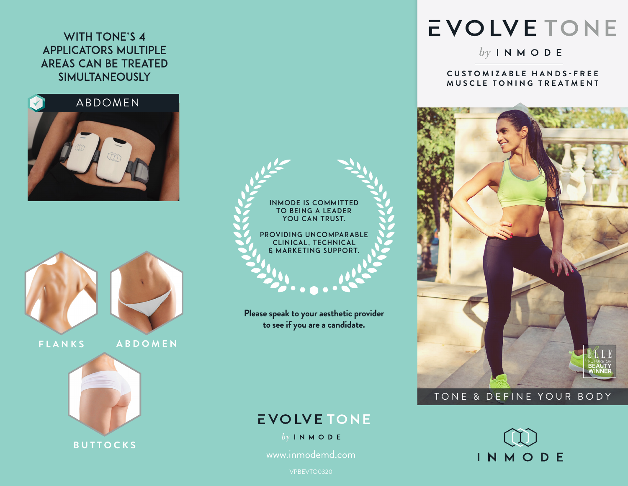### WITH TONE'S 4 applicators Multiple Areas can be Treated Simultaneously











**Please speak to your aesthetic provider to see if you are a candidate.**

## **EVOLVETONE**

 $by IN M O D E$ 

www.inmodemd.com

# **EVOLVETONE**

 $by INMODE$ 

#### **C U S T O M I Z A B L E H A N D S - F R E E MUSCLE TONING TREATMENT**



#### TONE & DEFINE YOUR BODY